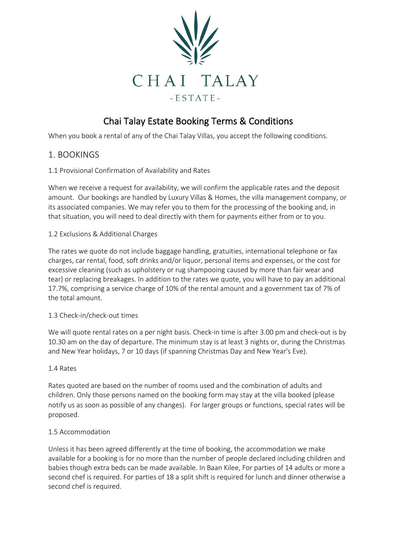

# Chai Talay Estate Booking Terms & Conditions

When you book a rental of any of the Chai Talay Villas, you accept the following conditions.

#### 1. BOOKINGS

#### 1.1 Provisional Confirmation of Availability and Rates

When we receive a request for availability, we will confirm the applicable rates and the deposit amount. Our bookings are handled by Luxury Villas & Homes, the villa management company, or its associated companies. We may refer you to them for the processing of the booking and, in that situation, you will need to deal directly with them for payments either from or to you.

#### 1.2 Exclusions & Additional Charges

The rates we quote do not include baggage handling, gratuities, international telephone or fax charges, car rental, food, soft drinks and/or liquor, personal items and expenses, or the cost for excessive cleaning (such as upholstery or rug shampooing caused by more than fair wear and tear) or replacing breakages. In addition to the rates we quote, you will have to pay an additional 17.7%, comprising a service charge of 10% of the rental amount and a government tax of 7% of the total amount.

#### 1.3 Check-in/check-out times

We will quote rental rates on a per night basis. Check-in time is after 3.00 pm and check-out is by 10.30 am on the day of departure. The minimum stay is at least 3 nights or, during the Christmas and New Year holidays, 7 or 10 days (if spanning Christmas Day and New Year's Eve).

#### 1.4 Rates

Rates quoted are based on the number of rooms used and the combination of adults and children. Only those persons named on the booking form may stay at the villa booked (please notify us as soon as possible of any changes). For larger groups or functions, special rates will be proposed.

#### 1.5 Accommodation

Unless it has been agreed differently at the time of booking, the accommodation we make available for a booking is for no more than the number of people declared including children and babies though extra beds can be made available. In Baan Kilee, For parties of 14 adults or more a second chef is required. For parties of 18 a split shift is required for lunch and dinner otherwise a second chef is required.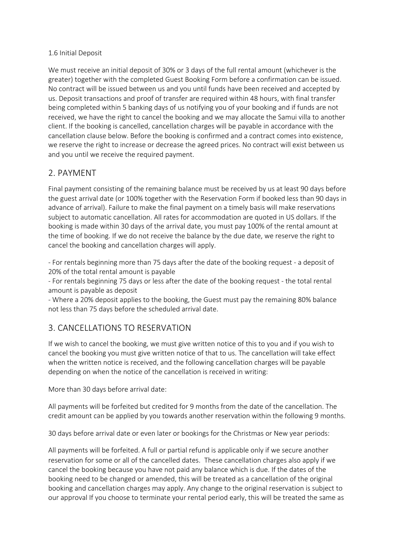#### 1.6 Initial Deposit

We must receive an initial deposit of 30% or 3 days of the full rental amount (whichever is the greater) together with the completed Guest Booking Form before a confirmation can be issued. No contract will be issued between us and you until funds have been received and accepted by us. Deposit transactions and proof of transfer are required within 48 hours, with final transfer being completed within 5 banking days of us notifying you of your booking and if funds are not received, we have the right to cancel the booking and we may allocate the Samui villa to another client. If the booking is cancelled, cancellation charges will be payable in accordance with the cancellation clause below. Before the booking is confirmed and a contract comes into existence, we reserve the right to increase or decrease the agreed prices. No contract will exist between us and you until we receive the required payment.

# 2. PAYMENT

Final payment consisting of the remaining balance must be received by us at least 90 days before the guest arrival date (or 100% together with the Reservation Form if booked less than 90 days in advance of arrival). Failure to make the final payment on a timely basis will make reservations subject to automatic cancellation. All rates for accommodation are quoted in US dollars. If the booking is made within 30 days of the arrival date, you must pay 100% of the rental amount at the time of booking. If we do not receive the balance by the due date, we reserve the right to cancel the booking and cancellation charges will apply.

- For rentals beginning more than 75 days after the date of the booking request - a deposit of 20% of the total rental amount is payable

- For rentals beginning 75 days or less after the date of the booking request - the total rental amount is payable as deposit

- Where a 20% deposit applies to the booking, the Guest must pay the remaining 80% balance not less than 75 days before the scheduled arrival date.

### 3. CANCELLATIONS TO RESERVATION

If we wish to cancel the booking, we must give written notice of this to you and if you wish to cancel the booking you must give written notice of that to us. The cancellation will take effect when the written notice is received, and the following cancellation charges will be payable depending on when the notice of the cancellation is received in writing:

More than 30 days before arrival date:

All payments will be forfeited but credited for 9 months from the date of the cancellation. The credit amount can be applied by you towards another reservation within the following 9 months.

30 days before arrival date or even later or bookings for the Christmas or New year periods:

All payments will be forfeited. A full or partial refund is applicable only if we secure another reservation for some or all of the cancelled dates. These cancellation charges also apply if we cancel the booking because you have not paid any balance which is due. If the dates of the booking need to be changed or amended, this will be treated as a cancellation of the original booking and cancellation charges may apply. Any change to the original reservation is subject to our approval If you choose to terminate your rental period early, this will be treated the same as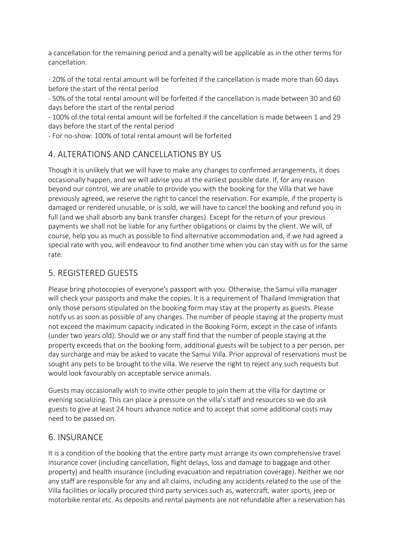a cancellation for the remaining period and a penalty will be applicable as in the other terms for cancellation.

- 20% of the total rental amount will be forfeited if the cancellation is made more than 60 days before the start of the rental period

- 50% of the total rental amount will be forfeited if the cancellation is made between 30 and 60 days before the start of the rental period

- 100% of the total rental amount will be forfeited if the cancellation is made between 1 and 29 days before the start of the rental period

- For no-show: 100% of total rental amount will be forfeited

#### 4. ALTERATIONS AND CANCELLATIONS BY US

Though it is unlikely that we will have to make any changes to confirmed arrangements, it does occasionally happen, and we will advise you at the earliest possible date. If, for any reason beyond our control, we are unable to provide you with the booking for the Villa that we have previously agreed, we reserve the right to cancel the reservation. For example, if the property is damaged or rendered unusable, or is sold, we will have to cancel the booking and refund you in full (and we shall absorb any bank transfer charges). Except for the return of your previous payments we shall not be liable for any further obligations or claims by the client. We will, of course, help you as much as possible to find alternative accommodation and, if we had agreed a special rate with you, will endeavour to find another time when you can stay with us for the same rate.

#### 5. REGISTERED GUESTS

Please bring photocopies of everyone's passport with you. Otherwise, the Samui villa manager will check your passports and make the copies. It is a requirement of Thailand Immigration that only those persons stipulated on the booking form may stay at the property as guests. Please notify us as soon as possible of any changes. The number of people staying at the property must not exceed the maximum capacity indicated in the Booking Form, except in the case of infants (under two years old). Should we or any staff find that the number of people staying at the property exceeds that on the booking form, additional guests will be subject to a per person, per day surcharge and may be asked to vacate the Samui Villa. Prior approval of reservations must be sought any pets to be brought to the villa. We reserve the right to reject any such requests but would look favourably on acceptable service animals.

Guests may occasionally wish to invite other people to join them at the villa for daytime or evening socializing. This can place a pressure on the villa's staff and resources so we do ask guests to give at least 24 hours advance notice and to accept that some additional costs may need to be passed on.

#### 6. INSURANCE

It is a condition of the booking that the entire party must arrange its own comprehensive travel insurance cover (including cancellation, flight delays, loss and damage to baggage and other property) and health insurance (including evacuation and repatriation coverage). Neither we nor any staff are responsible for any and all claims, including any accidents related to the use of the Villa facilities or locally procured third party services such as, watercraft, water sports, jeep or motorbike rental etc. As deposits and rental payments are not refundable after a reservation has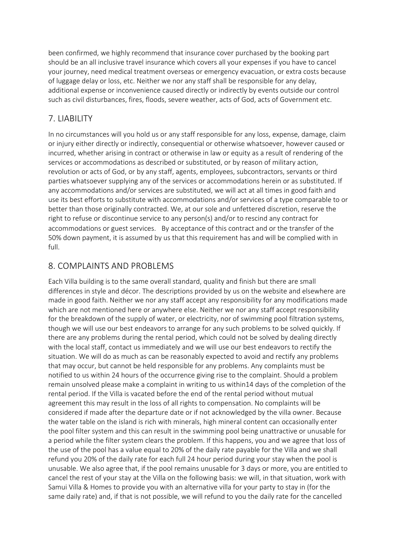been confirmed, we highly recommend that insurance cover purchased by the booking part should be an all inclusive travel insurance which covers all your expenses if you have to cancel your journey, need medical treatment overseas or emergency evacuation, or extra costs because of luggage delay or loss, etc. Neither we nor any staff shall be responsible for any delay, additional expense or inconvenience caused directly or indirectly by events outside our control such as civil disturbances, fires, floods, severe weather, acts of God, acts of Government etc.

# 7. LIABILITY

In no circumstances will you hold us or any staff responsible for any loss, expense, damage, claim or injury either directly or indirectly, consequential or otherwise whatsoever, however caused or incurred, whether arising in contract or otherwise in law or equity as a result of rendering of the services or accommodations as described or substituted, or by reason of military action, revolution or acts of God, or by any staff, agents, employees, subcontractors, servants or third parties whatsoever supplying any of the services or accommodations herein or as substituted. If any accommodations and/or services are substituted, we will act at all times in good faith and use its best efforts to substitute with accommodations and/or services of a type comparable to or better than those originally contracted. We, at our sole and unfettered discretion, reserve the right to refuse or discontinue service to any person(s) and/or to rescind any contract for accommodations or guest services. By acceptance of this contract and or the transfer of the 50% down payment, it is assumed by us that this requirement has and will be complied with in full.

### 8. COMPLAINTS AND PROBLEMS

Each Villa building is to the same overall standard, quality and finish but there are small differences in style and décor. The descriptions provided by us on the website and elsewhere are made in good faith. Neither we nor any staff accept any responsibility for any modifications made which are not mentioned here or anywhere else. Neither we nor any staff accept responsibility for the breakdown of the supply of water, or electricity, nor of swimming pool filtration systems, though we will use our best endeavors to arrange for any such problems to be solved quickly. If there are any problems during the rental period, which could not be solved by dealing directly with the local staff, contact us immediately and we will use our best endeavors to rectify the situation. We will do as much as can be reasonably expected to avoid and rectify any problems that may occur, but cannot be held responsible for any problems. Any complaints must be notified to us within 24 hours of the occurrence giving rise to the complaint. Should a problem remain unsolved please make a complaint in writing to us within14 days of the completion of the rental period. If the Villa is vacated before the end of the rental period without mutual agreement this may result in the loss of all rights to compensation. No complaints will be considered if made after the departure date or if not acknowledged by the villa owner. Because the water table on the island is rich with minerals, high mineral content can occasionally enter the pool filter system and this can result in the swimming pool being unattractive or unusable for a period while the filter system clears the problem. If this happens, you and we agree that loss of the use of the pool has a value equal to 20% of the daily rate payable for the Villa and we shall refund you 20% of the daily rate for each full 24 hour period during your stay when the pool is unusable. We also agree that, if the pool remains unusable for 3 days or more, you are entitled to cancel the rest of your stay at the Villa on the following basis: we will, in that situation, work with Samui Villa & Homes to provide you with an alternative villa for your party to stay in (for the same daily rate) and, if that is not possible, we will refund to you the daily rate for the cancelled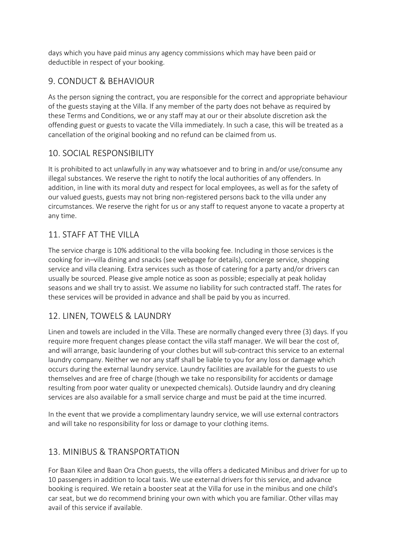days which you have paid minus any agency commissions which may have been paid or deductible in respect of your booking.

# 9. CONDUCT & BEHAVIOUR

As the person signing the contract, you are responsible for the correct and appropriate behaviour of the guests staying at the Villa. If any member of the party does not behave as required by these Terms and Conditions, we or any staff may at our or their absolute discretion ask the offending guest or guests to vacate the Villa immediately. In such a case, this will be treated as a cancellation of the original booking and no refund can be claimed from us.

#### 10. SOCIAL RESPONSIBILITY

It is prohibited to act unlawfully in any way whatsoever and to bring in and/or use/consume any illegal substances. We reserve the right to notify the local authorities of any offenders. In addition, in line with its moral duty and respect for local employees, as well as for the safety of our valued guests, guests may not bring non-registered persons back to the villa under any circumstances. We reserve the right for us or any staff to request anyone to vacate a property at any time.

### 11. STAFF AT THE VILLA

The service charge is 10% additional to the villa booking fee. Including in those services is the cooking for in–villa dining and snacks (see webpage for details), concierge service, shopping service and villa cleaning. Extra services such as those of catering for a party and/or drivers can usually be sourced. Please give ample notice as soon as possible; especially at peak holiday seasons and we shall try to assist. We assume no liability for such contracted staff. The rates for these services will be provided in advance and shall be paid by you as incurred.

# 12. LINEN, TOWELS & LAUNDRY

Linen and towels are included in the Villa. These are normally changed every three (3) days. If you require more frequent changes please contact the villa staff manager. We will bear the cost of, and will arrange, basic laundering of your clothes but will sub-contract this service to an external laundry company. Neither we nor any staff shall be liable to you for any loss or damage which occurs during the external laundry service. Laundry facilities are available for the guests to use themselves and are free of charge (though we take no responsibility for accidents or damage resulting from poor water quality or unexpected chemicals). Outside laundry and dry cleaning services are also available for a small service charge and must be paid at the time incurred.

In the event that we provide a complimentary laundry service, we will use external contractors and will take no responsibility for loss or damage to your clothing items.

### 13. MINIBUS & TRANSPORTATION

For Baan Kilee and Baan Ora Chon guests, the villa offers a dedicated Minibus and driver for up to 10 passengers in addition to local taxis. We use external drivers for this service, and advance booking is required. We retain a booster seat at the Villa for use in the minibus and one child's car seat, but we do recommend brining your own with which you are familiar. Other villas may avail of this service if available.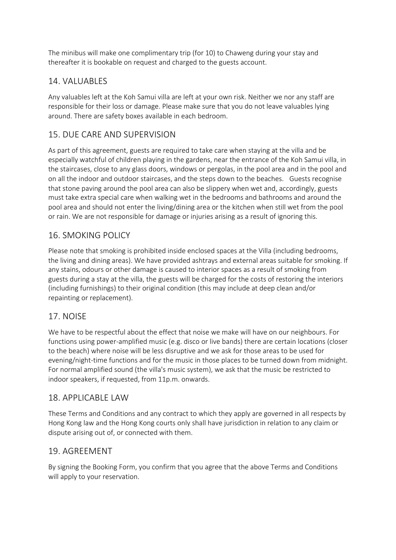The minibus will make one complimentary trip (for 10) to Chaweng during your stay and thereafter it is bookable on request and charged to the guests account.

# 14. VALUABLES

Any valuables left at the Koh Samui villa are left at your own risk. Neither we nor any staff are responsible for their loss or damage. Please make sure that you do not leave valuables lying around. There are safety boxes available in each bedroom.

# 15. DUE CARE AND SUPERVISION

As part of this agreement, guests are required to take care when staying at the villa and be especially watchful of children playing in the gardens, near the entrance of the Koh Samui villa, in the staircases, close to any glass doors, windows or pergolas, in the pool area and in the pool and on all the indoor and outdoor staircases, and the steps down to the beaches. Guests recognise that stone paving around the pool area can also be slippery when wet and, accordingly, guests must take extra special care when walking wet in the bedrooms and bathrooms and around the pool area and should not enter the living/dining area or the kitchen when still wet from the pool or rain. We are not responsible for damage or injuries arising as a result of ignoring this.

### 16. SMOKING POLICY

Please note that smoking is prohibited inside enclosed spaces at the Villa (including bedrooms, the living and dining areas). We have provided ashtrays and external areas suitable for smoking. If any stains, odours or other damage is caused to interior spaces as a result of smoking from guests during a stay at the villa, the guests will be charged for the costs of restoring the interiors (including furnishings) to their original condition (this may include at deep clean and/or repainting or replacement).

### 17. NOISE

We have to be respectful about the effect that noise we make will have on our neighbours. For functions using power-amplified music (e.g. disco or live bands) there are certain locations (closer to the beach) where noise will be less disruptive and we ask for those areas to be used for evening/night-time functions and for the music in those places to be turned down from midnight. For normal amplified sound (the villa's music system), we ask that the music be restricted to indoor speakers, if requested, from 11p.m. onwards.

### 18. APPLICABLE LAW

These Terms and Conditions and any contract to which they apply are governed in all respects by Hong Kong law and the Hong Kong courts only shall have jurisdiction in relation to any claim or dispute arising out of, or connected with them.

### 19. AGREEMENT

By signing the Booking Form, you confirm that you agree that the above Terms and Conditions will apply to your reservation.